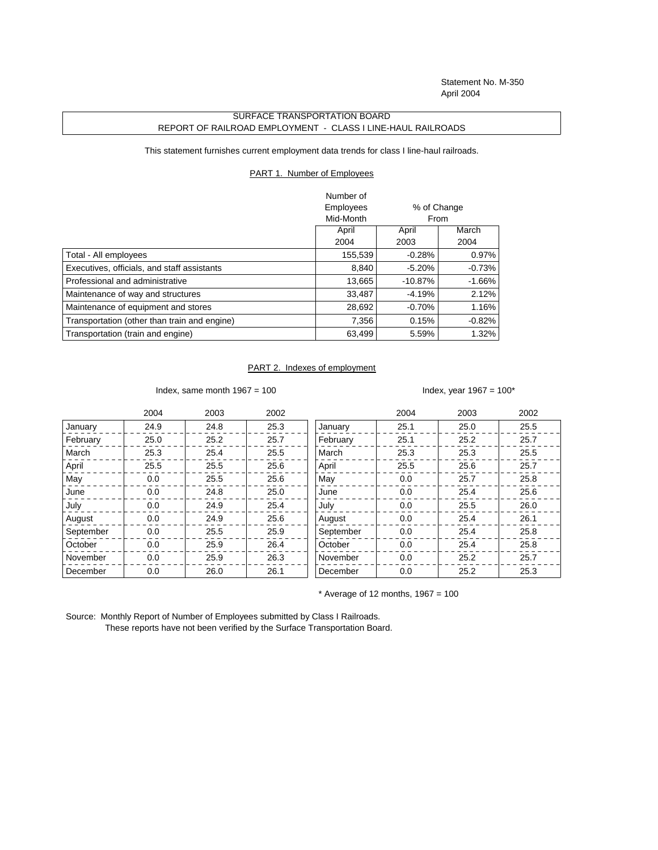Statement No. M-350 April 2004

## SURFACE TRANSPORTATION BOARD REPORT OF RAILROAD EMPLOYMENT - CLASS I LINE-HAUL RAILROADS

This statement furnishes current employment data trends for class I line-haul railroads.

## PART 1. Number of Employees

|                                              | Number of |             |          |
|----------------------------------------------|-----------|-------------|----------|
|                                              | Employees | % of Change |          |
|                                              | Mid-Month | From        |          |
|                                              | April     | April       | March    |
|                                              | 2004      | 2003        | 2004     |
| Total - All employees                        | 155,539   | $-0.28%$    | 0.97%    |
| Executives, officials, and staff assistants  | 8,840     | $-5.20%$    | $-0.73%$ |
| Professional and administrative              | 13,665    | $-10.87%$   | $-1.66%$ |
| Maintenance of way and structures            | 33,487    | $-4.19%$    | 2.12%    |
| Maintenance of equipment and stores          | 28,692    | $-0.70%$    | 1.16%    |
| Transportation (other than train and engine) | 7,356     | 0.15%       | $-0.82%$ |
| Transportation (train and engine)            | 63,499    | 5.59%       | 1.32%    |

## PART 2. Indexes of employment

Index, same month  $1967 = 100$  Index, year  $1967 = 100^*$ 

|           | 2004 | 2003 | 2002 |           | 2004 | 2003 | 2002 |
|-----------|------|------|------|-----------|------|------|------|
| January   | 24.9 | 24.8 | 25.3 | January   | 25.1 | 25.0 | 25.5 |
| February  | 25.0 | 25.2 | 25.7 | February  | 25.1 | 25.2 | 25.7 |
| March     | 25.3 | 25.4 | 25.5 | March     | 25.3 | 25.3 | 25.5 |
| April     | 25.5 | 25.5 | 25.6 | April     | 25.5 | 25.6 | 25.7 |
| May       | 0.0  | 25.5 | 25.6 | May       | 0.0  | 25.7 | 25.8 |
| June      | 0.0  | 24.8 | 25.0 | June      | 0.0  | 25.4 | 25.6 |
| July      | 0.0  | 24.9 | 25.4 | July      | 0.0  | 25.5 | 26.0 |
| August    | 0.0  | 24.9 | 25.6 | August    | 0.0  | 25.4 | 26.1 |
| September | 0.0  | 25.5 | 25.9 | September | 0.0  | 25.4 | 25.8 |
| October   | 0.0  | 25.9 | 26.4 | October   | 0.0  | 25.4 | 25.8 |
| November  | 0.0  | 25.9 | 26.3 | November  | 0.0  | 25.2 | 25.7 |
| December  | 0.0  | 26.0 | 26.1 | December  | 0.0  | 25.2 | 25.3 |

 $*$  Average of 12 months, 1967 = 100

Source: Monthly Report of Number of Employees submitted by Class I Railroads. These reports have not been verified by the Surface Transportation Board.